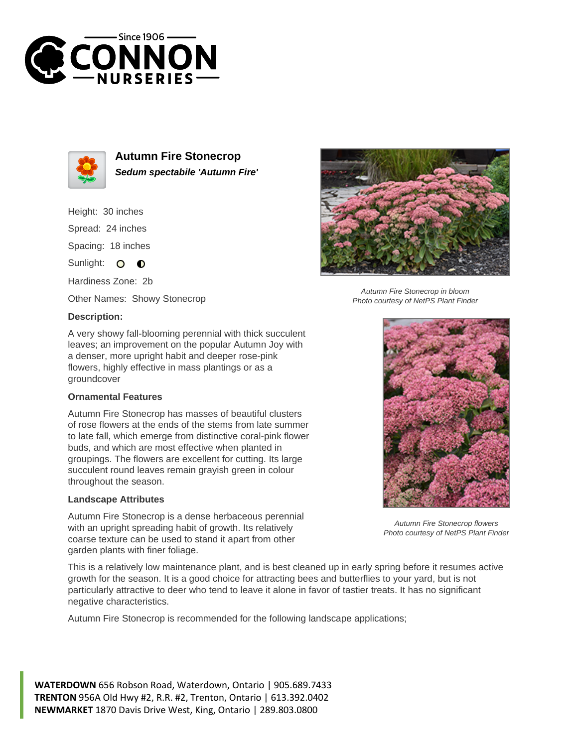



**Autumn Fire Stonecrop Sedum spectabile 'Autumn Fire'**

Height: 30 inches Spread: 24 inches Spacing: 18 inches Sunlight: O **O** 

Hardiness Zone: 2b

Other Names: Showy Stonecrop

## **Description:**

A very showy fall-blooming perennial with thick succulent leaves; an improvement on the popular Autumn Joy with a denser, more upright habit and deeper rose-pink flowers, highly effective in mass plantings or as a groundcover

## **Ornamental Features**

Autumn Fire Stonecrop has masses of beautiful clusters of rose flowers at the ends of the stems from late summer to late fall, which emerge from distinctive coral-pink flower buds, and which are most effective when planted in groupings. The flowers are excellent for cutting. Its large succulent round leaves remain grayish green in colour throughout the season.

## **Landscape Attributes**

Autumn Fire Stonecrop is a dense herbaceous perennial with an upright spreading habit of growth. Its relatively coarse texture can be used to stand it apart from other garden plants with finer foliage.

This is a relatively low maintenance plant, and is best cleaned up in early spring before it resumes active growth for the season. It is a good choice for attracting bees and butterflies to your yard, but is not particularly attractive to deer who tend to leave it alone in favor of tastier treats. It has no significant negative characteristics.

Autumn Fire Stonecrop is recommended for the following landscape applications;

**WATERDOWN** 656 Robson Road, Waterdown, Ontario | 905.689.7433 **TRENTON** 956A Old Hwy #2, R.R. #2, Trenton, Ontario | 613.392.0402 **NEWMARKET** 1870 Davis Drive West, King, Ontario | 289.803.0800



Autumn Fire Stonecrop in bloom Photo courtesy of NetPS Plant Finder



Autumn Fire Stonecrop flowers Photo courtesy of NetPS Plant Finder